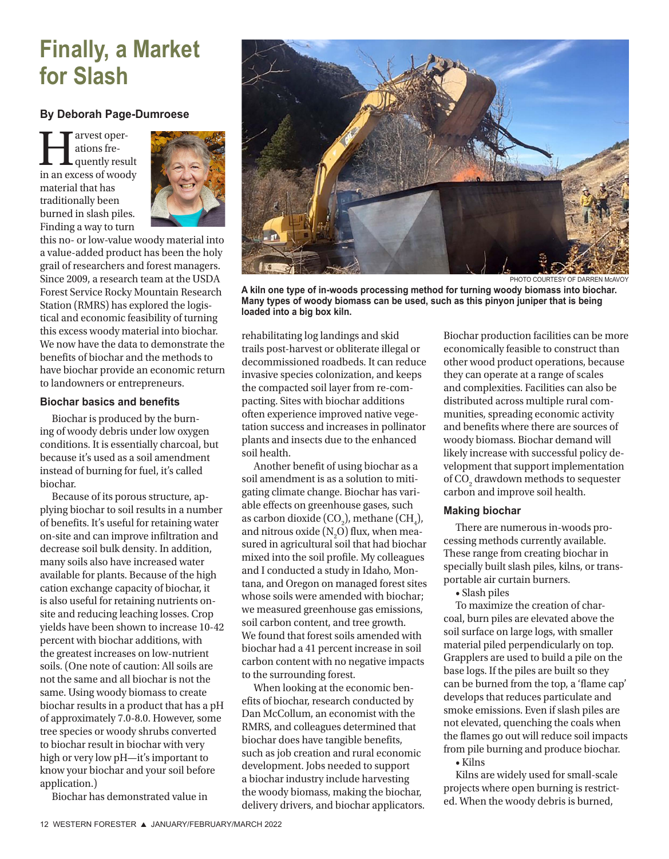# **Finally, a Market for Slash**

### **By Deborah Page-Dumroese**

I arvest oper-<br>ations fre-<br>quently result<br>in an excess of woody ations frequently result material that has traditionally been burned in slash piles. Finding a way to turn



this no- or low-value woody material into a value-added product has been the holy grail of researchers and forest managers. Since 2009, a research team at the USDA Forest Service Rocky Mountain Research Station (RMRS) has explored the logistical and economic feasibility of turning this excess woody material into biochar. We now have the data to demonstrate the benefits of biochar and the methods to have biochar provide an economic return to landowners or entrepreneurs.

#### **Biochar basics and benefits**

Biochar is produced by the burning of woody debris under low oxygen conditions. It is essentially charcoal, but because it's used as a soil amendment instead of burning for fuel, it's called biochar.

Because of its porous structure, applying biochar to soil results in a number of benefits. It's useful for retaining water on-site and can improve infiltration and decrease soil bulk density. In addition, many soils also have increased water available for plants. Because of the high cation exchange capacity of biochar, it is also useful for retaining nutrients onsite and reducing leaching losses. Crop yields have been shown to increase 10-42 percent with biochar additions, with the greatest increases on low-nutrient soils. (One note of caution: All soils are not the same and all biochar is not the same. Using woody biomass to create biochar results in a product that has a pH of approximately 7.0-8.0. However, some tree species or woody shrubs converted to biochar result in biochar with very high or very low pH—it's important to know your biochar and your soil before application.)

Biochar has demonstrated value in



**A kiln one type of in-woods processing method for turning woody biomass into biochar. Many types of woody biomass can be used, such as this pinyon juniper that is being loaded into a big box kiln.**

rehabilitating log landings and skid trails post-harvest or obliterate illegal or decommissioned roadbeds. It can reduce invasive species colonization, and keeps the compacted soil layer from re-compacting. Sites with biochar additions often experience improved native vegetation success and increases in pollinator plants and insects due to the enhanced soil health.

Another benefit of using biochar as a soil amendment is as a solution to mitigating climate change. Biochar has variable effects on greenhouse gases, such as carbon dioxide (CO<sub>2</sub>), methane (CH<sub>4</sub>), and nitrous oxide ( $\mathrm{N}_2\mathrm{O}$ ) flux, when measured in agricultural soil that had biochar mixed into the soil profile. My colleagues and I conducted a study in Idaho, Montana, and Oregon on managed forest sites whose soils were amended with biochar; we measured greenhouse gas emissions, soil carbon content, and tree growth. We found that forest soils amended with biochar had a 41 percent increase in soil carbon content with no negative impacts to the surrounding forest.

When looking at the economic benefits of biochar, research conducted by Dan McCollum, an economist with the RMRS, and colleagues determined that biochar does have tangible benefits, such as job creation and rural economic development. Jobs needed to support a biochar industry include harvesting the woody biomass, making the biochar, delivery drivers, and biochar applicators. Biochar production facilities can be more economically feasible to construct than other wood product operations, because they can operate at a range of scales and complexities. Facilities can also be distributed across multiple rural communities, spreading economic activity and benefits where there are sources of woody biomass. Biochar demand will likely increase with successful policy development that support implementation of CO<sub>2</sub> drawdown methods to sequester carbon and improve soil health.

#### **Making biochar**

There are numerous in-woods processing methods currently available. These range from creating biochar in specially built slash piles, kilns, or transportable air curtain burners.

• Slash piles

To maximize the creation of charcoal, burn piles are elevated above the soil surface on large logs, with smaller material piled perpendicularly on top. Grapplers are used to build a pile on the base logs. If the piles are built so they can be burned from the top, a 'flame cap' develops that reduces particulate and smoke emissions. Even if slash piles are not elevated, quenching the coals when the flames go out will reduce soil impacts from pile burning and produce biochar.

• Kilns

Kilns are widely used for small-scale projects where open burning is restricted. When the woody debris is burned,